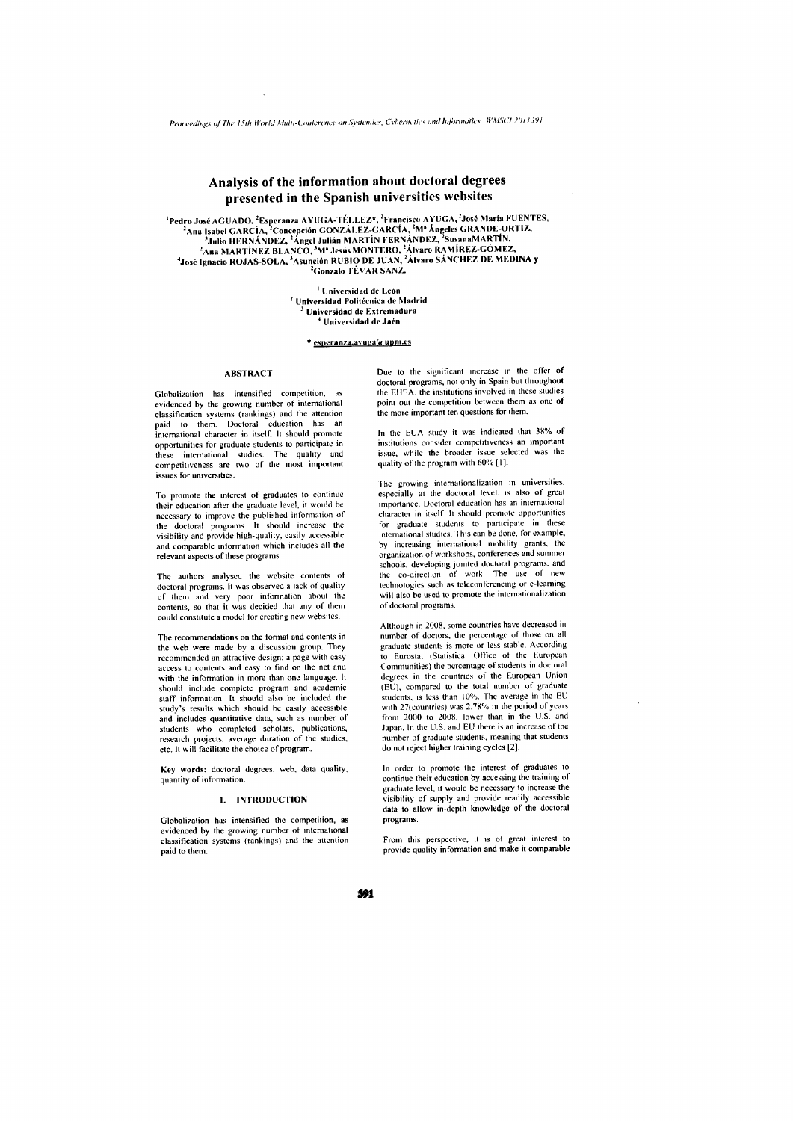# Analysis of the information about doctoral degrees presented in the Spanish universities websites

<sup>1</sup>Pedro José AGUADO, <sup>2</sup>Esperanza AYUGA-TÉLLEZ\*, <sup>2</sup>Francisco AYUGA, <sup>2</sup>José María FUENTES,<br><sup>2</sup>Ana Isabel GARCÍA, <sup>2</sup>Concepción GONZÁLEZ-GARCÍA, <sup>2</sup>M<sup>2</sup> Ángeles GRANDE-ORTIZ,<br><sup>3</sup>Julio HERNÁNDEZ, <sup>2</sup>Angel Julián MARTÍN FER

<sup>1</sup> Universidad de León <sup>2</sup> Universidad Politécnica de Madrid Universidad de Extremadura <sup>4</sup> Universidad de Jaén

\* esperanza.avuga@upm.es

### **ABSTRACT**

Globalization has intensified competition, evidenced by the growing number of international classification systems (rankings) and the attention<br>paid to them. Doctoral education has an international character in itself. It should promote opportunities for graduate students to participate in these international studies. The quality and<br>competitiveness are two of the most important issues for universities.

To promote the interest of graduates to continue their education after the graduate level, it would be necessary to improve the published information of the doctoral programs. It should increase the<br>visibility and provide high-quality, easily accessible and comparable information which includes all the relevant aspects of these programs.

The authors analysed the website contents of doctoral programs. It was observed a lack of quality of them and very poor information about the contents, so that it was decided that any of them could constitute a model for creating new websites.

The recommendations on the format and contents in the web were made by a discussion group. They recommended an attractive design; a page with easy access to contents and easy to find on the net and with the information in more than one language. It should include complete program and academic staff information. It should also be included the study's results which should be easily accessible and includes quantitative data, such as number of students who completed scholars, publications,<br>research projects, average duration of the studies,<br>etc. It will facilitate the choice of program.

Key words: doctoral degrees, web, data quality, quantity of information.

## 1. INTRODUCTION

Globalization has intensified the competition, as evidenced by the growing number of international classification systems (rankings) and the attention paid to them.

 $\ddot{\phantom{a}}$ 

Due to the significant increase in the offer of doctoral programs, not only in Spain but throughout the EHEA, the institutions involved in these studies point out the competition between them as one of the more important ten questions for them.

In the EUA study it was indicated that 38% of institutions consider competitiveness an important issue, while the broader issue selected was the quality of the program with 60% [1].

The growing internationalization in universities, especially at the doctoral level, is also of great importance. Doctoral education has an international character in itself. It should promote opportunities for graduate students to participate in these international studies. This can be done, for example, by increasing international mobility grants, the organization of workshops, conferences and summer schools, developing jointed doctoral programs, and the co-direction of work. The use of new technologies such as teleconferencing or e-learning will also be used to promote the internationalization of doctoral programs

Although in 2008, some countries have decreased in number of doctors, the percentage of those on all graduate students is more or less stable. According<br>to Eurostat (Statistical Office of the European Communities) the percentage of students in doctoral degrees in the countries of the European Union (EU), compared to the total number of graduate students, is less than 10%. The average in the EU with 27(countries) was 2.78% in the period of years from 2000 to 2008, lower than in the U.S. and Japan. In the U.S. and EU there is an increase of the number of graduate students, meaning that students do not reject higher training cycles [2].

In order to promote the interest of graduates to continue their education by accessing the training of graduate level, it would be necessary to increase the visibility of supply and provide readily accessible<br>data to allow in-depth knowledge of the doctoral programs.

From this perspective, it is of great interest to provide quality information and make it comparable

391